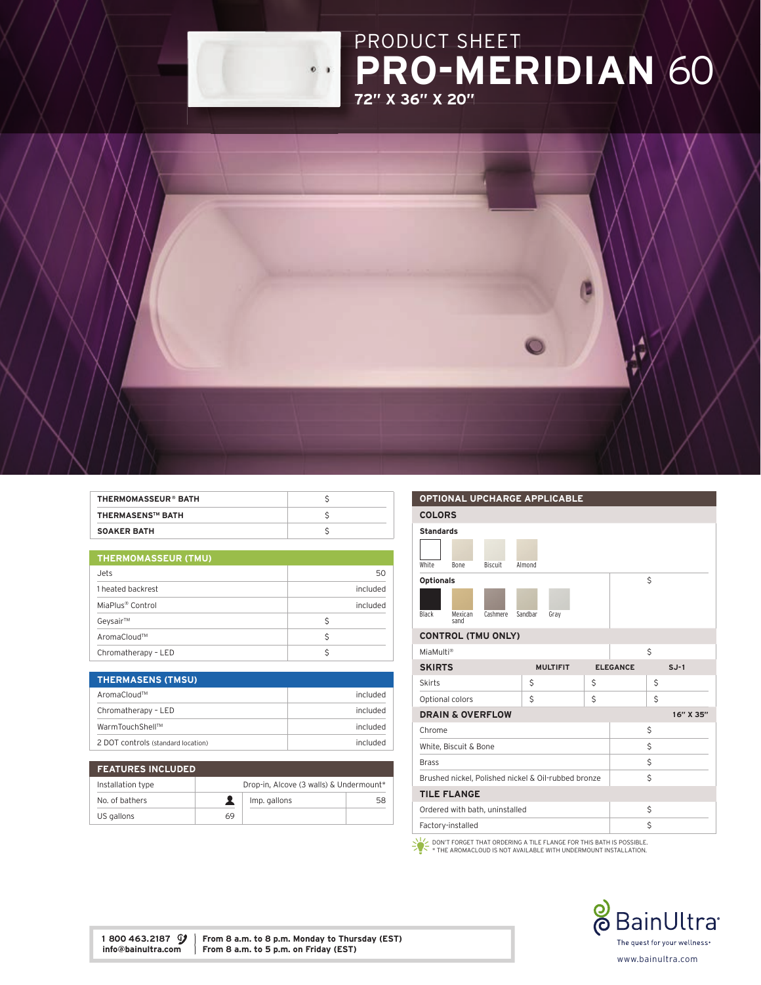

| <b>THERMOMASSEUR® BATH</b> |  |
|----------------------------|--|
| <b>THERMASENS™ BATH</b>    |  |
| <b>SOAKER BATH</b>         |  |

| <b>THERMOMASSEUR (TMU)</b> |          |  |
|----------------------------|----------|--|
| Jets                       | 50       |  |
| 1 heated backrest          | included |  |
| MiaPlus® Control           | included |  |
| Geysair™                   | Ś        |  |
| AromaCloud™                | S        |  |
| Chromatherapy - LED        |          |  |

| <b>THERMASENS (TMSU)</b>           |          |
|------------------------------------|----------|
| AromaCloud™                        | included |
| Chromatherapy - LED                | included |
| WarmTouchShell™                    | included |
| 2 DOT controls (standard location) | included |

| <b>FEATURES INCLUDED</b> |                                         |              |    |
|--------------------------|-----------------------------------------|--------------|----|
| Installation type        | Drop-in, Alcove (3 walls) & Undermount* |              |    |
| No. of bathers           |                                         | Imp. gallons | 58 |
| US gallons               | 69                                      |              |    |

## OPTIONAL UPCHARGE APPLICABLE COLORS Standards White Bone Biscuit Almond Optionals Black Mexican sand Cashmere Sandbar Gray \$ CONTROL (TMU ONLY) MiaMulti®  $\zeta$ SKIRTS MULTIFIT ELEGANCE SJ-1 Skirts  $\begin{array}{ccc} \vert & \zeta & \vert & \zeta & \vert \end{array}$ Optional colors \$ \$ \$ **DRAIN & OVERFLOW** 16" X 35" Chrome  $\sim$  \$ White, Biscuit & Bone  $\sim$  \$  $Brass$   $\zeta$ Brushed nickel, Polished nickel & Oil-rubbed bronze \$ TILE FLANGE Ordered with bath, uninstalled \$ Factory-installed \$

DON'T FORGET THAT ORDERING A TILE FLANGE FOR THIS BATH IS POSSIBLE. \* THE AROMACLOUD IS NOT AVAILABLE WITH UNDERMOUNT INSTALLATION.



1 800 463.2187  $\mathcal{Y}$  From 8 a.m. to 8 p.m. Monday to Thursday (EST) info@bainultra.com From 8 a.m. to 5 p.m. on Friday (EST) From 8 a.m. to 5 p.m. on Friday (EST)